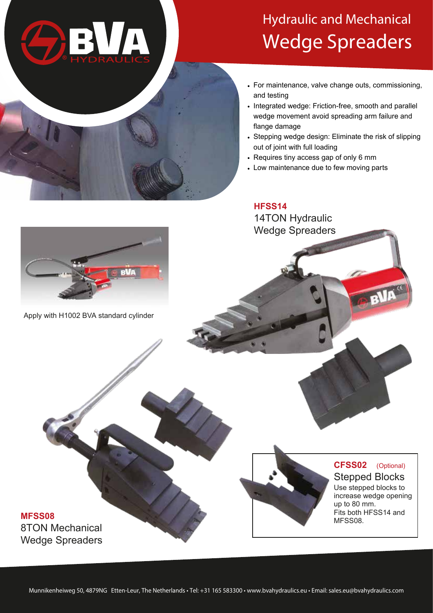

## **Hydraulic and Mechanical Wedge Spreaders**

- For maintenance, valve change outs, commissioning, and testing
- Integrated wedge: Friction-free, smooth and parallel wedge movement avoid spreading arm failure and flange damage
- Stepping wedge design: Eliminate the risk of slipping out of joint with full loading
- Requires tiny access gap of only 6 mm
- Low maintenance due to few moving parts

**HFSS14** 14TON Hydraulic Wedge Spreaders



Apply with H1002 BVA standard cylinder

## **MFSS08** 8TON Mechanical Wedge Spreaders



## **CFSS02** (Optional) Stepped Blocks

Use stepped blocks to increase wedge opening up to 80 mm. Fits both HFSS14 and MFSS08.